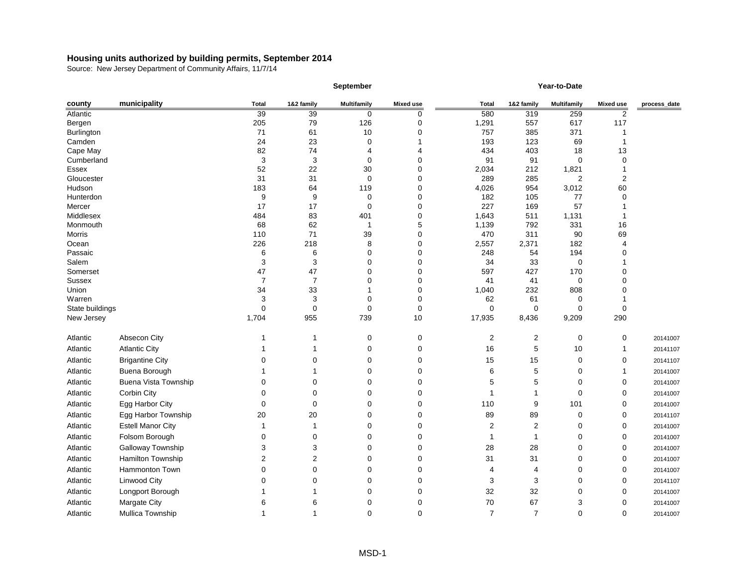|                               |                             |                      |                | September          |                  |                |                | Year-to-Date            |                  |              |
|-------------------------------|-----------------------------|----------------------|----------------|--------------------|------------------|----------------|----------------|-------------------------|------------------|--------------|
| county                        | municipality                | <b>Total</b>         | 1&2 family     | <b>Multifamily</b> | <b>Mixed use</b> | <b>Total</b>   | 1&2 family     | <b>Multifamily</b>      | <b>Mixed use</b> | process_date |
| Atlantic                      |                             | 39                   | 39             | 0                  | 0                | 580            | 319            | 259                     | 2                |              |
| Bergen                        |                             | 205                  | 79             | 126                | 0                | 1,291          | 557            | 617                     | 117              |              |
| Burlington                    |                             | 71                   | 61             | 10                 | 0                | 757            | 385            | 371                     |                  |              |
| Camden                        |                             | 24                   | 23             | 0                  |                  | 193            | 123            | 69                      |                  |              |
| Cape May                      |                             | 82                   | 74             | 4                  | 4                | 434            | 403            | 18                      | 13               |              |
| Cumberland                    |                             | 3                    | 3              | 0                  | 0                | 91             | 91             | $\mathbf 0$             | $\Omega$         |              |
| Essex<br>Gloucester           |                             | 52<br>31             | 22<br>31       | 30<br>0            | 0<br>0           | 2,034<br>289   | 212<br>285     | 1,821<br>$\overline{c}$ | $\overline{2}$   |              |
| Hudson                        |                             | 183                  | 64             | 119                | 0                | 4,026          | 954            | 3,012                   | 60               |              |
| Hunterdon                     |                             | 9                    | 9              | $\mathbf 0$        | 0                | 182            | 105            | 77                      | $\Omega$         |              |
| Mercer                        |                             | 17                   | 17             | 0                  | 0                | 227            | 169            | 57                      |                  |              |
| Middlesex                     |                             | 484                  | 83             | 401                | 0                | 1,643          | 511            | 1,131                   |                  |              |
| Monmouth                      |                             | 68                   | 62             |                    | 5                | 1,139          | 792            | 331                     | 16               |              |
| Morris                        |                             | 110                  | 71             | 39                 | 0                | 470            | 311            | 90                      | 69               |              |
| Ocean                         |                             | 226                  | 218            | 8                  | 0                | 2,557          | 2,371          | 182                     |                  |              |
| Passaic                       |                             | 6                    | 6              | 0                  | 0                | 248            | 54             | 194                     |                  |              |
| Salem                         |                             | 3                    | 3              | 0                  | 0                | 34             | 33             | $\pmb{0}$               |                  |              |
| Somerset                      |                             | 47                   | 47             | 0                  | 0                | 597            | 427            | 170                     |                  |              |
| <b>Sussex</b>                 |                             | $\overline{7}$       | $\overline{7}$ | 0                  | 0                | 41             | 41             | $\pmb{0}$               |                  |              |
| Union                         |                             | 34                   | 33             |                    | 0                | 1,040          | 232            | 808                     |                  |              |
| Warren                        |                             | 3                    | 3              | 0                  | 0                | 62             | 61             | 0                       |                  |              |
| State buildings<br>New Jersey |                             | $\mathbf 0$<br>1,704 | 0<br>955       | 0<br>739           | 0<br>10          | 0<br>17,935    | 0<br>8,436     | 0<br>9,209              | 0<br>290         |              |
|                               |                             |                      |                |                    |                  |                |                |                         |                  |              |
| Atlantic                      | Absecon City                |                      |                | 0                  | 0                | $\overline{c}$ | $\overline{c}$ | $\pmb{0}$               | $\mathbf 0$      | 20141007     |
| Atlantic                      | <b>Atlantic City</b>        |                      |                | 0                  | 0                | 16             | 5              | 10                      |                  | 20141107     |
| Atlantic                      | <b>Brigantine City</b>      |                      | ∩              | 0                  | 0                | 15             | 15             | $\pmb{0}$               | 0                | 20141107     |
| Atlantic                      | Buena Borough               |                      |                | 0                  | 0                | 6              | 5              | 0                       |                  | 20141007     |
| Atlantic                      | <b>Buena Vista Township</b> | 0                    | 0              | 0                  | 0                | 5              | 5              | 0                       | 0                | 20141007     |
| Atlantic                      | Corbin City                 | 0                    | 0              | 0                  | 0                |                |                | 0                       | 0                | 20141007     |
| Atlantic                      | Egg Harbor City             | 0                    | 0              | 0                  | 0                | 110            | 9              | 101                     | 0                | 20141007     |
| Atlantic                      | Egg Harbor Township         | 20                   | 20             | $\sim$             | $\sim$           | 89             | 89             | $\sim$                  | $\mathbf 0$      | 20141107     |
| Atlantic                      | <b>Estell Manor City</b>    |                      |                |                    |                  | 2              | 2              |                         | 0                | 20141007     |
| Atlantic                      | Folsom Borough              | 0                    | 0              | 0                  | 0                |                |                | 0                       | 0                | 20141007     |
| Atlantic                      | Galloway Township           | 3                    |                | 0                  | 0                | 28             | 28             | 0                       | 0                | 20141007     |
| Atlantic                      | Hamilton Township           | $\overline{2}$       | 2              | 0                  | 0                | 31             | 31             | 0                       | 0                | 20141007     |
| Atlantic                      | Hammonton Town              | ∩                    |                | 0                  | 0                |                | 4              | 0                       | 0                | 20141007     |
| Atlantic                      | <b>Linwood City</b>         |                      |                | O                  | 0                | 3              | 3              | 0                       | 0                | 20141107     |
| Atlantic                      | Longport Borough            |                      |                | 0                  | 0                | 32             | 32             | 0                       | 0                | 20141007     |
| Atlantic                      | Margate City                | 6                    | 6              | Ω                  | 0                | 70             | 67             | 3                       |                  | 20141007     |
| Atlantic                      | Mullica Township            |                      |                | 0                  | 0                | $\overline{7}$ | $\overline{7}$ | 0                       | 0                | 20141007     |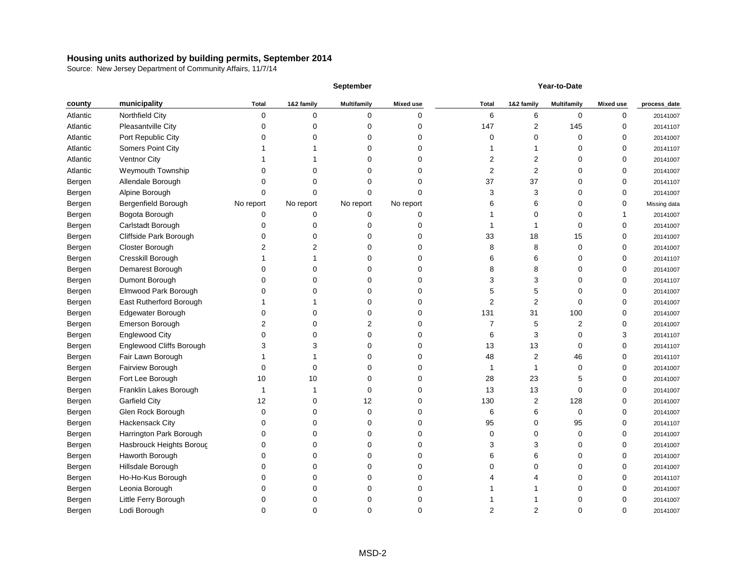|          |                            |              |            | <b>September</b>   |                  | Year-to-Date |                |                    |                  |              |
|----------|----------------------------|--------------|------------|--------------------|------------------|--------------|----------------|--------------------|------------------|--------------|
| county   | municipality               | <b>Total</b> | 1&2 family | <b>Multifamily</b> | <b>Mixed use</b> | <b>Total</b> | 1&2 family     | <b>Multifamily</b> | <b>Mixed use</b> | process_date |
| Atlantic | Northfield City            | 0            | $\Omega$   | 0                  | 0                | 6            | 6              | 0                  | 0                | 20141007     |
| Atlantic | Pleasantville City         | U            |            | 0                  | 0                | 147          | 2              | 145                | $\Omega$         | 20141107     |
| Atlantic | Port Republic City         |              |            | 0                  |                  | 0            | 0              | 0                  | 0                | 20141007     |
| Atlantic | <b>Somers Point City</b>   |              |            | 0                  |                  |              |                | O                  | 0                | 20141107     |
| Atlantic | <b>Ventnor City</b>        |              |            | 0                  |                  | 2            | 2              |                    | 0                | 20141007     |
| Atlantic | Weymouth Township          |              |            | 0                  | O                | 2            | $\overline{2}$ |                    |                  | 20141007     |
| Bergen   | Allendale Borough          |              |            | 0                  |                  | 37           | 37             |                    |                  | 20141107     |
| Bergen   | Alpine Borough             | O            |            | 0                  | U                | 3            | 3              | O                  | O                | 20141007     |
| Bergen   | <b>Bergenfield Borough</b> | No report    | No report  | No report          | No report        | 6            | 6              |                    | 0                | Missing data |
| Bergen   | Bogota Borough             | 0            | n          | 0                  | 0                |              | 0              |                    |                  | 20141007     |
| Bergen   | Carlstadt Borough          |              |            | 0                  |                  |              |                |                    |                  | 20141007     |
| Bergen   | Cliffside Park Borough     |              |            | 0                  | U                | 33           | 18             | 15                 |                  | 20141007     |
| Bergen   | Closter Borough            |              |            | 0                  | 0                | 8            | 8              | 0                  | O                | 20141007     |
| Bergen   | Cresskill Borough          |              |            | 0                  | 0                | 6            | 6              | 0                  | ∩                | 20141107     |
| Bergen   | Demarest Borough           | O            |            | 0                  | 0                | 8            | 8              | ∩                  | 0                | 20141007     |
| Bergen   | Dumont Borough             |              |            | 0                  |                  | 3            | 3              |                    |                  | 20141107     |
| Bergen   | Elmwood Park Borough       |              |            | 0                  |                  | 5            | 5              | O                  | 0                | 20141007     |
| Bergen   | East Rutherford Borough    |              |            | 0                  |                  | 2            | 2              | ∩                  | ∩                | 20141007     |
| Bergen   | Edgewater Borough          |              |            | 0                  | 0                | 131          | 31             | 100                |                  | 20141007     |
| Bergen   | Emerson Borough            |              |            | 2                  | 0                |              | 5              | 2                  |                  | 20141007     |
| Bergen   | <b>Englewood City</b>      | C            |            | 0                  | 0                | 6            | 3              | 0                  | 3                | 20141107     |
| Bergen   | Englewood Cliffs Borough   |              |            | 0                  | O                | 13           | 13             | 0                  | $\Omega$         | 20141107     |
| Bergen   | Fair Lawn Borough          |              |            | 0                  | O                | 48           | 2              | 46                 | $\Omega$         | 20141107     |
| Bergen   | Fairview Borough           | 0            |            | 0                  | U                |              |                | $\Omega$           | O                | 20141007     |
| Bergen   | Fort Lee Borough           | 10           | 10         | 0                  | 0                | 28           | 23             | 5                  | O                | 20141007     |
| Bergen   | Franklin Lakes Borough     |              |            | 0                  |                  | 13           | 13             | $\Omega$           | 0                | 20141007     |
| Bergen   | <b>Garfield City</b>       | 12           |            | 12                 |                  | 130          | 2              | 128                | 0                | 20141007     |
| Bergen   | Glen Rock Borough          | 0            |            | 0                  |                  | 6            | 6              | 0                  | 0                | 20141007     |
| Bergen   | Hackensack City            | 0            |            | 0                  | 0                | 95           | 0              | 95                 | $\mathbf 0$      | 20141107     |
| Bergen   | Harrington Park Borough    | 0            |            | 0                  | 0                | 0            | 0              | 0                  | 0                | 20141007     |
| Bergen   | Hasbrouck Heights Boroug   | 0            |            | 0                  | 0                | 3            | 3              | 0                  | $\Omega$         | 20141007     |
| Bergen   | Haworth Borough            | 0            |            | 0                  | 0                | 6            | 6              | 0                  | $\Omega$         | 20141007     |
| Bergen   | Hillsdale Borough          | 0            |            | 0                  | 0                |              | 0              |                    | 0                | 20141007     |
| Bergen   | Ho-Ho-Kus Borough          | 0            |            | 0                  | O                |              | 4              |                    | $\Omega$         | 20141107     |
| Bergen   | Leonia Borough             | 0            |            | 0                  | O                |              |                | ∩                  |                  | 20141007     |
| Bergen   | Little Ferry Borough       | 0            |            | 0                  | 0                |              |                | ∩                  |                  | 20141007     |
| Bergen   | Lodi Borough               | 0            | 0          | 0                  | 0                | 2            | 2              | 0                  | 0                | 20141007     |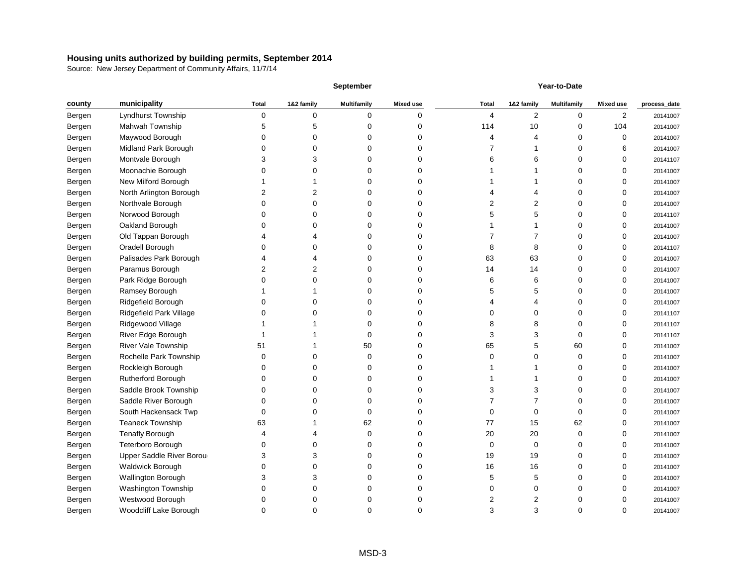|        | <b>September</b>               |              |            |                    | Year-to-Date     |              |            |                    |                  |              |
|--------|--------------------------------|--------------|------------|--------------------|------------------|--------------|------------|--------------------|------------------|--------------|
| county | municipality                   | <b>Total</b> | 1&2 family | <b>Multifamily</b> | <b>Mixed use</b> | <b>Total</b> | 1&2 family | <b>Multifamily</b> | <b>Mixed use</b> | process_date |
| Bergen | Lyndhurst Township             | 0            | $\Omega$   | 0                  | 0                | 4            | 2          | 0                  | 2                | 20141007     |
| Bergen | Mahwah Township                |              |            | O                  | ი                | 114          | 10         | 0                  | 104              | 20141007     |
| Bergen | Maywood Borough                |              |            | O                  |                  |              | 4          | 0                  | $\Omega$         | 20141007     |
| Bergen | Midland Park Borough           |              |            |                    |                  |              |            |                    |                  | 20141007     |
| Bergen | Montvale Borough               | З            |            |                    |                  | 6            | 6          |                    |                  | 20141107     |
| Bergen | Moonachie Borough              |              |            | ი                  |                  |              |            |                    |                  | 20141007     |
| Bergen | New Milford Borough            |              |            |                    |                  |              |            |                    |                  | 20141007     |
| Bergen | North Arlington Borough        |              |            | O                  | O                |              |            |                    |                  | 20141007     |
| Bergen | Northvale Borough              |              |            | ი                  | 0                |              | 2          |                    |                  | 20141007     |
| Bergen | Norwood Borough                |              |            | U                  | O                |              | 5          |                    |                  | 20141107     |
| Bergen | Oakland Borough                |              |            |                    |                  |              |            |                    |                  | 20141007     |
| Bergen | Old Tappan Borough             |              |            | O                  |                  |              |            |                    |                  | 20141007     |
| Bergen | Oradell Borough                |              |            |                    |                  |              | 8          |                    |                  | 20141107     |
| Bergen | Palisades Park Borough         |              |            | 0                  | 0                | 63           | 63         | 0                  | ∩                | 20141007     |
| Bergen | Paramus Borough                |              |            | O                  | O                | 14           | 14         | 0                  |                  | 20141007     |
| Bergen | Park Ridge Borough             |              |            |                    |                  | 6            | 6          |                    |                  | 20141007     |
| Bergen | Ramsey Borough                 |              |            |                    |                  |              | 5          | O                  |                  | 20141007     |
| Bergen | Ridgefield Borough             |              |            |                    |                  |              | 4          |                    |                  | 20141007     |
| Bergen | <b>Ridgefield Park Village</b> |              |            | O                  | ი                |              | 0          |                    |                  | 20141107     |
| Bergen | Ridgewood Village              |              |            |                    |                  |              | 8          |                    |                  | 20141107     |
| Bergen | River Edge Borough             |              |            | U                  | 0                | 3            | 3          | 0                  |                  | 20141107     |
| Bergen | <b>River Vale Township</b>     | 51           |            | 50                 |                  | 65           | 5          | 60                 |                  | 20141007     |
| Bergen | Rochelle Park Township         | 0            |            | 0                  | 0                | O            | 0          | 0                  | ∩                | 20141007     |
| Bergen | Rockleigh Borough              |              |            | ი                  |                  |              |            |                    |                  | 20141007     |
| Bergen | Rutherford Borough             |              |            | O                  |                  |              |            |                    |                  | 20141007     |
| Bergen | Saddle Brook Township          |              |            |                    |                  |              | 3          |                    |                  | 20141007     |
| Bergen | Saddle River Borough           |              |            |                    |                  |              |            |                    |                  | 20141007     |
| Bergen | South Hackensack Twp           | 0            |            |                    |                  |              | 0          | 0                  | ∩                | 20141007     |
| Bergen | <b>Teaneck Township</b>        | 63           |            | 62                 | 0                | 77           | 15         | 62                 | $\mathbf 0$      | 20141007     |
| Bergen | <b>Tenafly Borough</b>         | 4            |            | 0                  | 0                | 20           | 20         | 0                  | 0                | 20141007     |
| Bergen | Teterboro Borough              | 0            |            | 0                  | 0                | 0            | 0          | 0                  | 0                | 20141007     |
| Bergen | Upper Saddle River Borou       | 3            | 3          | $\Omega$           | 0                | 19           | 19         | 0                  | 0                | 20141007     |
| Bergen | Waldwick Borough               | 0            |            | 0                  | 0                | 16           | 16         | 0                  | ∩                | 20141007     |
| Bergen | Wallington Borough             | 3            | 3          | 0                  | 0                | 5            | 5          | 0                  | 0                | 20141007     |
| Bergen | Washington Township            | $\mathbf 0$  | ∩          | 0                  | 0                | 0            | 0          | 0                  | ∩                | 20141007     |
| Bergen | Westwood Borough               | 0            |            | 0                  | 0                | 2            | 2          | 0                  |                  | 20141007     |
| Bergen | Woodcliff Lake Borough         | $\mathbf 0$  | 0          | 0                  | 0                | 3            | 3          | 0                  | 0                | 20141007     |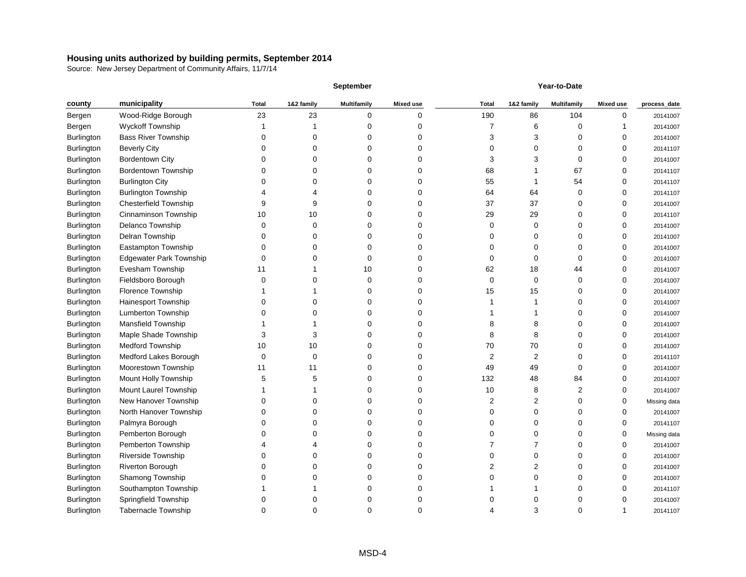|                   |                                |              |            | <b>September</b>   |                  |              |            | Year-to-Date       |                  |              |
|-------------------|--------------------------------|--------------|------------|--------------------|------------------|--------------|------------|--------------------|------------------|--------------|
| county            | municipality                   | <b>Total</b> | 1&2 family | <b>Multifamily</b> | <b>Mixed use</b> | <b>Total</b> | 1&2 family | <b>Multifamily</b> | <b>Mixed use</b> | process_date |
| Bergen            | Wood-Ridge Borough             | 23           | 23         | 0                  | 0                | 190          | 86         | 104                | ∩                | 20141007     |
| Bergen            | <b>Wyckoff Township</b>        |              |            |                    |                  |              | 6          | 0                  |                  | 20141007     |
| Burlington        | <b>Bass River Township</b>     |              |            |                    |                  | З            | 3          |                    |                  | 20141007     |
| Burlington        | <b>Beverly City</b>            |              |            |                    |                  |              | 0          | O                  |                  | 20141107     |
| Burlington        | <b>Bordentown City</b>         |              |            |                    |                  |              | 3          |                    |                  | 20141007     |
| Burlington        | <b>Bordentown Township</b>     |              |            |                    |                  | 68           |            | 67                 |                  | 20141107     |
| Burlington        | <b>Burlington City</b>         |              |            |                    |                  | 55           |            | 54                 |                  | 20141107     |
| Burlington        | <b>Burlington Township</b>     |              |            | O                  | 0                | 64           | 64         | 0                  |                  | 20141107     |
| Burlington        | <b>Chesterfield Township</b>   |              |            |                    |                  | 37           | 37         |                    |                  | 20141007     |
| Burlington        | Cinnaminson Township           | 10           | 10         | O                  |                  | 29           | 29         |                    |                  | 20141107     |
| Burlington        | Delanco Township               | ∩            |            |                    |                  |              | 0          |                    |                  | 20141007     |
| Burlington        | Delran Township                |              |            | O                  |                  |              | 0          |                    |                  | 20141007     |
| Burlington        | Eastampton Township            |              |            |                    |                  |              | 0          |                    |                  | 20141007     |
| Burlington        | <b>Edgewater Park Township</b> | 0            |            | O                  |                  |              | 0          | 0                  |                  | 20141007     |
| Burlington        | Evesham Township               | 11           |            | 10                 |                  | 62           | 18         | 44                 |                  | 20141007     |
| Burlington        | Fieldsboro Borough             |              |            | O                  |                  | 0            | 0          | 0                  |                  | 20141007     |
| Burlington        | Florence Township              |              |            |                    |                  | 15           | 15         |                    |                  | 20141007     |
| Burlington        | Hainesport Township            |              |            |                    |                  |              |            |                    |                  | 20141007     |
| Burlington        | Lumberton Township             |              |            |                    |                  |              |            |                    |                  | 20141007     |
| Burlington        | Mansfield Township             |              |            |                    |                  | 8            | 8          |                    |                  | 20141007     |
| Burlington        | Maple Shade Township           | 3            |            | O                  | 0                | 8            | 8          |                    |                  | 20141007     |
| Burlington        | <b>Medford Township</b>        | 10           | 10         | O                  |                  | 70           | 70         |                    |                  | 20141007     |
| Burlington        | Medford Lakes Borough          | 0            |            | O                  |                  | 2            | 2          |                    |                  | 20141107     |
| Burlington        | Moorestown Township            | 11           | 11         |                    |                  | 49           | 49         | 0                  | ∩                | 20141007     |
| Burlington        | Mount Holly Township           |              |            |                    |                  | 132          | 48         | 84                 |                  | 20141007     |
| Burlington        | Mount Laurel Township          |              |            |                    |                  | 10           | 8          |                    |                  | 20141007     |
| Burlington        | New Hanover Township           |              |            |                    |                  | 2            | 2          |                    |                  | Missing data |
| Burlington        | North Hanover Township         |              |            |                    |                  |              |            |                    |                  | 20141007     |
| <b>Burlington</b> | Palmyra Borough                |              |            |                    |                  |              | 0          |                    | 0                | 20141107     |
| Burlington        | Pemberton Borough              |              |            | 0                  | 0                |              | 0          | 0                  | ∩                | Missing data |
| Burlington        | Pemberton Township             |              |            | O                  |                  |              |            |                    |                  | 20141007     |
| Burlington        | Riverside Township             |              |            | O                  | 0                |              | 0          |                    |                  | 20141007     |
| Burlington        | <b>Riverton Borough</b>        |              |            |                    |                  |              | 2          |                    |                  | 20141007     |
| Burlington        | Shamong Township               |              |            | O                  |                  |              | 0          |                    |                  | 20141007     |
| Burlington        | Southampton Township           |              |            |                    |                  |              |            |                    |                  | 20141107     |
| Burlington        | Springfield Township           | 0            |            | Ω                  |                  |              | 0          | 0                  |                  | 20141007     |
| Burlington        | Tabernacle Township            | 0            | 0          | 0                  | 0                |              | 3          | 0                  |                  | 20141107     |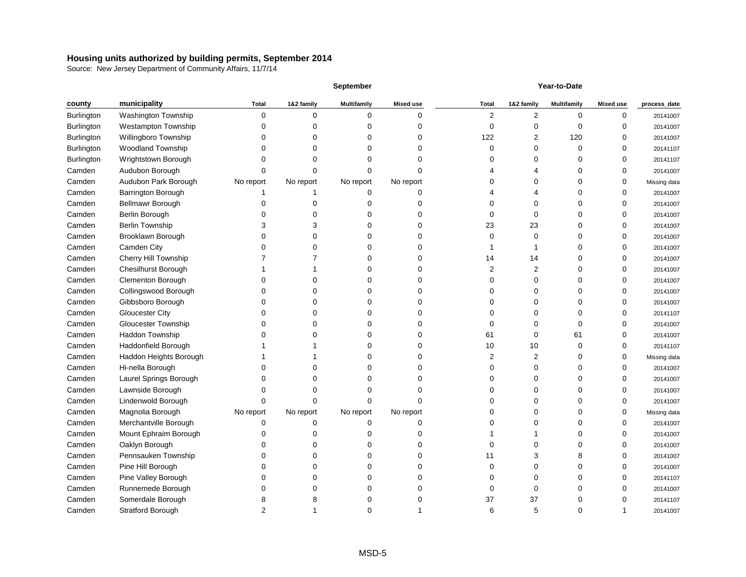|                   |                            |              |            | September          |                  |              |            | Year-to-Date       |                  |              |
|-------------------|----------------------------|--------------|------------|--------------------|------------------|--------------|------------|--------------------|------------------|--------------|
| county            | municipality               | <b>Total</b> | 1&2 family | <b>Multifamily</b> | <b>Mixed use</b> | <b>Total</b> | 1&2 family | <b>Multifamily</b> | <b>Mixed use</b> | process_date |
| <b>Burlington</b> | Washington Township        | 0            | $\Omega$   | 0                  | 0                | 2            | 2          | $\Omega$           | ∩                | 20141007     |
| Burlington        | Westampton Township        | n            |            |                    |                  | n            | 0          |                    |                  | 20141007     |
| Burlington        | Willingboro Township       |              |            |                    |                  | 122          | 2          | 120                |                  | 20141007     |
| Burlington        | <b>Woodland Township</b>   |              |            |                    |                  | O            | 0          | <sup>0</sup>       |                  | 20141107     |
| Burlington        | Wrightstown Borough        |              |            |                    |                  |              | 0          |                    |                  | 20141107     |
| Camden            | Audubon Borough            |              |            |                    |                  |              |            |                    |                  | 20141007     |
| Camden            | Audubon Park Borough       | No report    | No report  | No report          | No report        |              | 0          |                    |                  | Missing data |
| Camden            | Barrington Borough         |              |            | O                  | 0                |              | 4          |                    |                  | 20141007     |
| Camden            | Bellmawr Borough           |              |            |                    |                  |              | 0          |                    |                  | 20141007     |
| Camden            | Berlin Borough             |              |            |                    |                  |              | 0          |                    |                  | 20141007     |
| Camden            | <b>Berlin Township</b>     |              |            |                    |                  | 23           | 23         |                    |                  | 20141007     |
| Camden            | Brooklawn Borough          |              |            |                    |                  |              | 0          |                    |                  | 20141007     |
| Camden            | Camden City                |              |            |                    |                  |              |            |                    |                  | 20141007     |
| Camden            | Cherry Hill Township       |              |            |                    |                  | 14           | 14         |                    |                  | 20141007     |
| Camden            | <b>Chesilhurst Borough</b> |              |            |                    |                  |              | 2          |                    |                  | 20141007     |
| Camden            | <b>Clementon Borough</b>   |              |            |                    |                  |              | 0          |                    |                  | 20141007     |
| Camden            | Collingswood Borough       |              |            |                    |                  |              | 0          |                    |                  | 20141007     |
| Camden            | Gibbsboro Borough          |              |            |                    |                  |              | 0          |                    |                  | 20141007     |
| Camden            | <b>Gloucester City</b>     |              |            |                    |                  |              | ი          |                    |                  | 20141107     |
| Camden            | Gloucester Township        |              |            |                    |                  |              | 0          |                    |                  | 20141007     |
| Camden            | Haddon Township            |              |            | U                  | O                | 61           | 0          | 61                 | C                | 20141007     |
| Camden            | Haddonfield Borough        |              |            |                    |                  | 10           | 10         |                    |                  | 20141107     |
| Camden            | Haddon Heights Borough     |              |            |                    |                  |              | 2          |                    | ∩                | Missing data |
| Camden            | Hi-nella Borough           |              |            |                    |                  |              | 0          |                    |                  | 20141007     |
| Camden            | Laurel Springs Borough     |              |            |                    |                  |              | 0          |                    |                  | 20141007     |
| Camden            | Lawnside Borough           |              |            |                    |                  |              |            |                    |                  | 20141007     |
| Camden            | Lindenwold Borough         |              |            |                    |                  |              |            |                    |                  | 20141007     |
| Camden            | Magnolia Borough           | No report    | No report  | No report          | No report        |              |            |                    |                  | Missing data |
| Camden            | Merchantville Borough      | 0            | 0          | 0                  | 0                |              | 0          |                    | 0                | 20141007     |
| Camden            | Mount Ephraim Borough      |              |            | U                  | O                |              |            |                    |                  | 20141007     |
| Camden            | Oaklyn Borough             |              |            |                    |                  |              | 0          |                    |                  | 20141007     |
| Camden            | Pennsauken Township        |              |            | U                  | 0                | 11           | 3          |                    |                  | 20141007     |
| Camden            | Pine Hill Borough          |              |            |                    |                  |              | 0          |                    |                  | 20141007     |
| Camden            | Pine Valley Borough        |              |            |                    |                  |              | O          |                    |                  | 20141107     |
| Camden            | Runnemede Borough          |              |            |                    |                  |              | ი          |                    |                  | 20141007     |
| Camden            | Somerdale Borough          | 8            |            |                    |                  | 37           | 37         |                    |                  | 20141107     |
| Camden            | Stratford Borough          | 2            |            | 0                  |                  | 6            | 5          | 0                  |                  | 20141007     |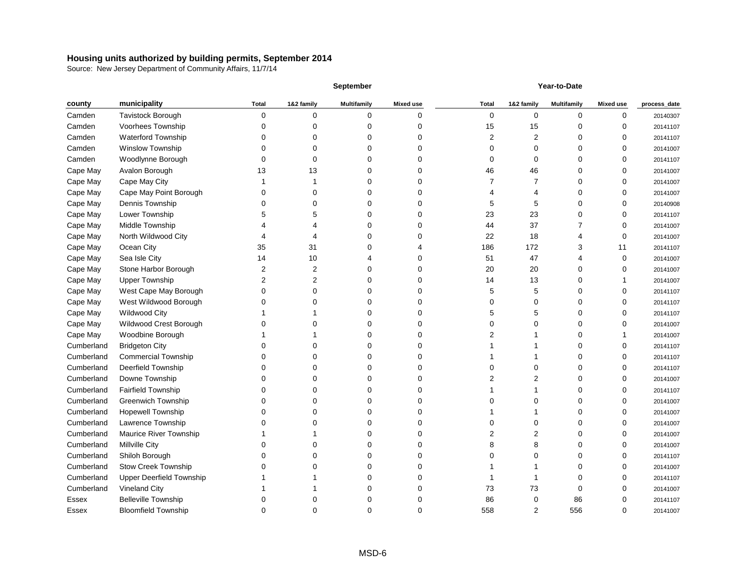|            |                                 |              |            | <b>September</b>   |                  | Year-to-Date |            |                    |                  |              |
|------------|---------------------------------|--------------|------------|--------------------|------------------|--------------|------------|--------------------|------------------|--------------|
| county     | municipality                    | <b>Total</b> | 1&2 family | <b>Multifamily</b> | <b>Mixed use</b> | <b>Total</b> | 1&2 family | <b>Multifamily</b> | <b>Mixed use</b> | process_date |
| Camden     | <b>Tavistock Borough</b>        | 0            | $\Omega$   | 0                  | 0                | 0            | 0          | 0                  | 0                | 20140307     |
| Camden     | Voorhees Township               | C            |            | 0                  | U                | 15           | 15         |                    |                  | 20141107     |
| Camden     | <b>Waterford Township</b>       |              |            | 0                  |                  | 2            | 2          |                    |                  | 20141107     |
| Camden     | Winslow Township                |              |            | ი                  |                  |              | 0          |                    |                  | 20141007     |
| Camden     | Woodlynne Borough               |              |            | 0                  |                  | 0            | 0          |                    | 0                | 20141107     |
| Cape May   | Avalon Borough                  | 13           | 13         | 0                  |                  | 46           | 46         |                    |                  | 20141007     |
| Cape May   | Cape May City                   |              |            | 0                  |                  |              |            |                    |                  | 20141007     |
| Cape May   | Cape May Point Borough          |              |            | 0                  |                  |              | 4          |                    |                  | 20141007     |
| Cape May   | Dennis Township                 |              |            | ი                  |                  |              | 5          |                    | 0                | 20140908     |
| Cape May   | Lower Township                  |              |            | 0                  | U                | 23           | 23         |                    | 0                | 20141107     |
| Cape May   | Middle Township                 |              |            | ი                  |                  | 44           | 37         |                    | 0                | 20141007     |
| Cape May   | North Wildwood City             |              |            | ი                  |                  | 22           | 18         |                    | ∩                | 20141007     |
| Cape May   | Ocean City                      | 35           | 31         | O                  |                  | 186          | 172        |                    | 11               | 20141107     |
| Cape May   | Sea Isle City                   | 14           | 10         |                    | O                | 51           | 47         |                    | $\Omega$         | 20141007     |
| Cape May   | Stone Harbor Borough            | 2            |            | 0                  | 0                | 20           | 20         |                    | 0                | 20141007     |
| Cape May   | <b>Upper Township</b>           | 2            |            | 0                  |                  | 14           | 13         |                    |                  | 20141007     |
| Cape May   | West Cape May Borough           | 0            |            | ი                  |                  | 5            | 5          |                    |                  | 20141107     |
| Cape May   | West Wildwood Borough           |              |            |                    |                  |              | 0          |                    |                  | 20141107     |
| Cape May   | <b>Wildwood City</b>            |              |            | O                  |                  |              | 5          |                    |                  | 20141107     |
| Cape May   | Wildwood Crest Borough          |              |            | 0                  |                  |              | 0          |                    |                  | 20141007     |
| Cape May   | Woodbine Borough                |              |            | 0                  |                  |              |            |                    |                  | 20141007     |
| Cumberland | <b>Bridgeton City</b>           |              |            | ი                  |                  |              |            |                    | 0                | 20141107     |
| Cumberland | <b>Commercial Township</b>      |              |            | 0                  |                  |              |            |                    | ∩                | 20141107     |
| Cumberland | Deerfield Township              |              |            | ი                  |                  |              | ი          |                    |                  | 20141107     |
| Cumberland | Downe Township                  |              |            | 0                  |                  |              | 2          |                    |                  | 20141007     |
| Cumberland | <b>Fairfield Township</b>       |              |            | O                  |                  |              |            |                    |                  | 20141107     |
| Cumberland | <b>Greenwich Township</b>       |              |            |                    |                  |              |            |                    |                  | 20141007     |
| Cumberland | <b>Hopewell Township</b>        | 0            |            | 0                  |                  |              |            | O                  | 0                | 20141007     |
| Cumberland | Lawrence Township               |              |            | 0                  |                  | 0            | 0          | 0                  | 0                | 20141007     |
| Cumberland | Maurice River Township          |              |            | 0                  | 0                | 2            | 2          |                    | 0                | 20141007     |
| Cumberland | Millville City                  |              |            | 0                  | 0                | 8            | 8          |                    | 0                | 20141007     |
| Cumberland | Shiloh Borough                  |              |            | 0                  | 0                |              | 0          |                    | 0                | 20141107     |
| Cumberland | <b>Stow Creek Township</b>      |              |            | 0                  |                  |              |            |                    | 0                | 20141007     |
| Cumberland | <b>Upper Deerfield Township</b> |              |            | 0                  | U                |              |            |                    |                  | 20141107     |
| Cumberland | <b>Vineland City</b>            |              |            | 0                  |                  | 73           | 73         | ∩                  |                  | 20141007     |
| Essex      | <b>Belleville Township</b>      |              |            | 0                  |                  | 86           | 0          | 86                 |                  | 20141107     |
| Essex      | <b>Bloomfield Township</b>      | 0            | 0          | 0                  | 0                | 558          | 2          | 556                | 0                | 20141007     |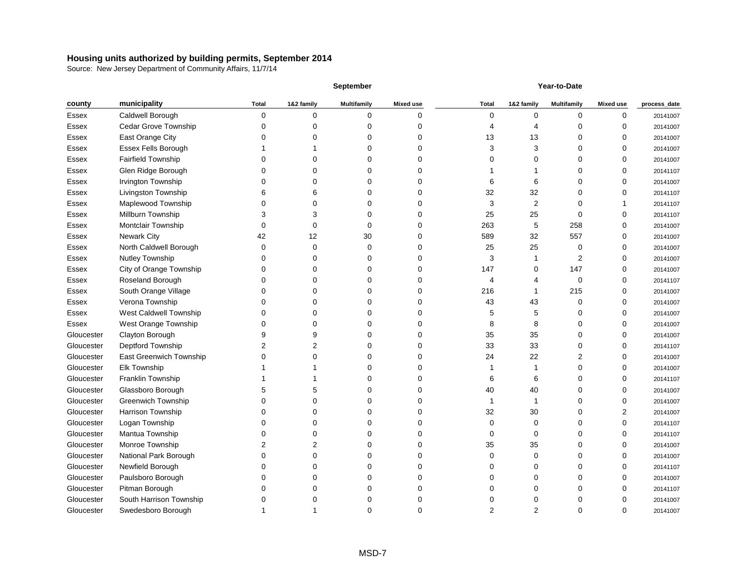|              |                             |                |            | <b>September</b>   |                  | Year-to-Date |                |                    |                  |              |
|--------------|-----------------------------|----------------|------------|--------------------|------------------|--------------|----------------|--------------------|------------------|--------------|
| county       | municipality                | <b>Total</b>   | 1&2 family | <b>Multifamily</b> | <b>Mixed use</b> | <b>Total</b> | 1&2 family     | <b>Multifamily</b> | <b>Mixed use</b> | process_date |
| Essex        | Caldwell Borough            | 0              | 0          | 0                  | 0                | 0            | 0              | 0                  | 0                | 20141007     |
| Essex        | <b>Cedar Grove Township</b> |                |            |                    | 0                |              |                | U                  | 0                | 20141007     |
| Essex        | East Orange City            |                |            |                    | 0                | 13           | 13             |                    |                  | 20141007     |
| Essex        | Essex Fells Borough         |                |            |                    | n                |              | 3              |                    | 0                | 20141007     |
| Essex        | <b>Fairfield Township</b>   |                |            |                    |                  |              | 0              |                    | 0                | 20141007     |
| Essex        | Glen Ridge Borough          |                |            |                    | 0                |              |                |                    | O                | 20141107     |
| Essex        | Irvington Township          |                |            |                    | 0                |              | 6              |                    |                  | 20141007     |
| <b>Essex</b> | Livingston Township         |                |            |                    | 0                | 32           | 32             |                    | 0                | 20141107     |
| Essex        | Maplewood Township          |                |            |                    | O                | 3            | $\overline{2}$ |                    |                  | 20141107     |
| Essex        | Millburn Township           | 3              |            | ი                  | 0                | 25           | 25             | ∩                  | 0                | 20141107     |
| Essex        | Montclair Township          | 0              |            | U                  | 0                | 263          | 5              | 258                | 0                | 20141007     |
| Essex        | <b>Newark City</b>          | 42             | 12         | 30                 | 0                | 589          | 32             | 557                | 0                | 20141007     |
| Essex        | North Caldwell Borough      | 0              | 0          | ი                  | 0                | 25           | 25             | 0                  | 0                | 20141007     |
| Essex        | Nutley Township             |                |            |                    | 0                | 3            |                | 2                  | 0                | 20141007     |
| Essex        | City of Orange Township     |                |            |                    | 0                | 147          | 0              | 147                | O                | 20141007     |
| Essex        | Roseland Borough            |                |            |                    | 0                |              |                | 0                  |                  | 20141107     |
| Essex        | South Orange Village        |                |            |                    | 0                | 216          |                | 215                | 0                | 20141007     |
| Essex        | Verona Township             |                |            |                    | 0                | 43           | 43             | 0                  | 0                | 20141007     |
| <b>Essex</b> | West Caldwell Township      |                |            | ი                  | 0                | 5            | 5              | O                  | 0                | 20141007     |
| Essex        | West Orange Township        |                |            |                    | 0                | 8            | 8              |                    | 0                | 20141007     |
| Gloucester   | Clayton Borough             |                |            | ი                  | 0                | 35           | 35             | O                  | 0                | 20141007     |
| Gloucester   | Deptford Township           | 2              |            |                    | 0                | 33           | 33             | ∩                  | 0                | 20141107     |
| Gloucester   | East Greenwich Township     | $\Omega$       |            | ი                  | 0                | 24           | 22             | 2                  | 0                | 20141007     |
| Gloucester   | Elk Township                |                |            |                    | ი                |              |                |                    |                  | 20141007     |
| Gloucester   | Franklin Township           |                |            |                    | ი                | 6            | 6              |                    |                  | 20141107     |
| Gloucester   | Glassboro Borough           |                |            |                    | n                | 40           | 40             |                    |                  | 20141007     |
| Gloucester   | <b>Greenwich Township</b>   |                |            |                    |                  |              |                |                    |                  | 20141007     |
| Gloucester   | Harrison Township           |                |            |                    | O                | 32           | 30             | Ω                  | 2                | 20141007     |
| Gloucester   | Logan Township              |                |            | 0                  | 0                | 0            | 0              | Ω                  | 0                | 20141107     |
| Gloucester   | Mantua Township             | 0              |            | 0                  | 0                | 0            | 0              | O                  | 0                | 20141107     |
| Gloucester   | Monroe Township             | $\overline{c}$ | 2          | 0                  | 0                | 35           | 35             |                    | 0                | 20141007     |
| Gloucester   | National Park Borough       | 0              | ∩          | 0                  | 0                | 0            | 0              | O                  | 0                | 20141007     |
| Gloucester   | Newfield Borough            |                |            |                    | 0                |              | 0              |                    | 0                | 20141107     |
| Gloucester   | Paulsboro Borough           | 0              |            | 0                  | 0                |              | 0              | O                  | O                | 20141007     |
| Gloucester   | Pitman Borough              | ∩              |            |                    | 0                |              | 0              | ∩                  |                  | 20141107     |
| Gloucester   | South Harrison Township     | 0              |            | 0                  | 0                |              | 0              | 0                  |                  | 20141007     |
| Gloucester   | Swedesboro Borough          |                |            | 0                  | 0                | 2            | $\overline{2}$ | $\mathbf 0$        | 0                | 20141007     |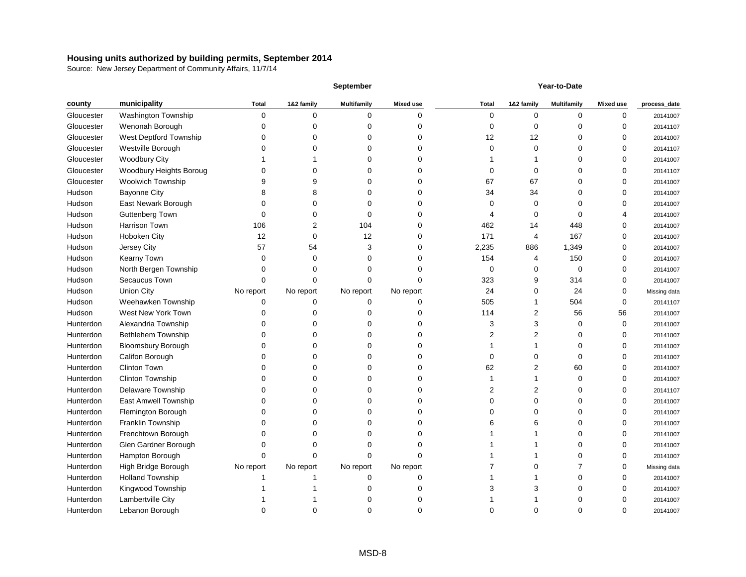|            |                           |              |            | <b>September</b>   |                  |              |            | Year-to-Date       |                  |              |
|------------|---------------------------|--------------|------------|--------------------|------------------|--------------|------------|--------------------|------------------|--------------|
| county     | municipality              | <b>Total</b> | 1&2 family | <b>Multifamily</b> | <b>Mixed use</b> | <b>Total</b> | 1&2 family | <b>Multifamily</b> | <b>Mixed use</b> | process_date |
| Gloucester | Washington Township       | 0            | 0          | 0                  | 0                | 0            | 0          | 0                  | 0                | 20141007     |
| Gloucester | Wenonah Borough           | O            |            | ი                  | 0                | ∩            | 0          | O                  | O                | 20141107     |
| Gloucester | West Deptford Township    | O            |            | 0                  |                  | 12           | 12         |                    |                  | 20141007     |
| Gloucester | Westville Borough         |              |            |                    |                  | $\Omega$     | 0          |                    |                  | 20141107     |
| Gloucester | <b>Woodbury City</b>      |              |            |                    |                  |              |            |                    |                  | 20141007     |
| Gloucester | Woodbury Heights Boroug   |              |            |                    | O                | $\cup$       | 0          |                    |                  | 20141107     |
| Gloucester | <b>Woolwich Township</b>  |              |            |                    |                  | 67           | 67         |                    |                  | 20141007     |
| Hudson     | <b>Bayonne City</b>       |              |            | U                  | 0                | 34           | 34         |                    |                  | 20141007     |
| Hudson     | East Newark Borough       |              |            | ი                  | 0                | $\Omega$     | 0          |                    | 0                | 20141007     |
| Hudson     | <b>Guttenberg Town</b>    | 0            |            | 0                  | 0                |              | 0          |                    |                  | 20141007     |
| Hudson     | Harrison Town             | 106          | 2          | 104                | 0                | 462          | 14         | 448                |                  | 20141007     |
| Hudson     | Hoboken City              | 12           | 0          | 12                 | 0                | 171          | 4          | 167                | 0                | 20141007     |
| Hudson     | Jersey City               | 57           | 54         | 3                  | 0                | 2,235        | 886        | 1,349              | 0                | 20141007     |
| Hudson     | Kearny Town               | 0            | 0          | O                  | 0                | 154          | 4          | 150                | ∩                | 20141007     |
| Hudson     | North Bergen Township     | O            |            |                    |                  | 0            | 0          | 0                  |                  | 20141007     |
| Hudson     | Secaucus Town             | 0            |            | ი                  | O                | 323          | 9          | 314                | 0                | 20141007     |
| Hudson     | <b>Union City</b>         | No report    | No report  | No report          | No report        | 24           | 0          | 24                 | 0                | Missing data |
| Hudson     | Weehawken Township        | 0            | 0          | 0                  | 0                | 505          |            | 504                | $\Omega$         | 20141107     |
| Hudson     | West New York Town        |              |            | 0                  | 0                | 114          | 2          | 56                 | 56               | 20141007     |
| Hunterdon  | Alexandria Township       |              |            | 0                  | 0                | 3            | 3          | 0                  | 0                | 20141007     |
| Hunterdon  | <b>Bethlehem Township</b> |              |            | 0                  | 0                |              | 2          | O                  | 0                | 20141007     |
| Hunterdon  | <b>Bloomsbury Borough</b> |              |            | ი                  | O                |              |            |                    | 0                | 20141007     |
| Hunterdon  | Califon Borough           | O            |            | 0                  | 0                | $\Omega$     | 0          | 0                  | ∩                | 20141007     |
| Hunterdon  | <b>Clinton Town</b>       |              |            | ი                  | O                | 62           | 2          | 60                 |                  | 20141007     |
| Hunterdon  | Clinton Township          |              |            | O                  |                  |              |            | 0                  |                  | 20141007     |
| Hunterdon  | Delaware Township         | O            |            |                    |                  |              | 2          |                    |                  | 20141107     |
| Hunterdon  | East Amwell Township      |              |            |                    |                  | O            | 0          |                    |                  | 20141007     |
| Hunterdon  | Flemington Borough        | 0            |            |                    | O                | O            | O          | O                  | 0                | 20141007     |
| Hunterdon  | Franklin Township         |              |            | 0                  |                  | 6            | 6          |                    | $\mathbf 0$      | 20141007     |
| Hunterdon  | Frenchtown Borough        |              |            | O                  | 0                |              |            |                    | 0                | 20141007     |
| Hunterdon  | Glen Gardner Borough      |              |            | 0                  |                  |              |            |                    |                  | 20141007     |
| Hunterdon  | Hampton Borough           | 0            |            | U                  | O                |              |            |                    | 0                | 20141007     |
| Hunterdon  | High Bridge Borough       | No report    | No report  | No report          | No report        |              | 0          |                    |                  | Missing data |
| Hunterdon  | <b>Holland Township</b>   |              |            | 0                  | O                |              |            |                    |                  | 20141007     |
| Hunterdon  | Kingwood Township         |              |            |                    | 0                |              | 3          |                    |                  | 20141007     |
| Hunterdon  | Lambertville City         |              |            | O                  |                  |              |            |                    |                  | 20141007     |
| Hunterdon  | Lebanon Borough           | 0            | 0          | 0                  | 0                | 0            | 0          | 0                  | 0                | 20141007     |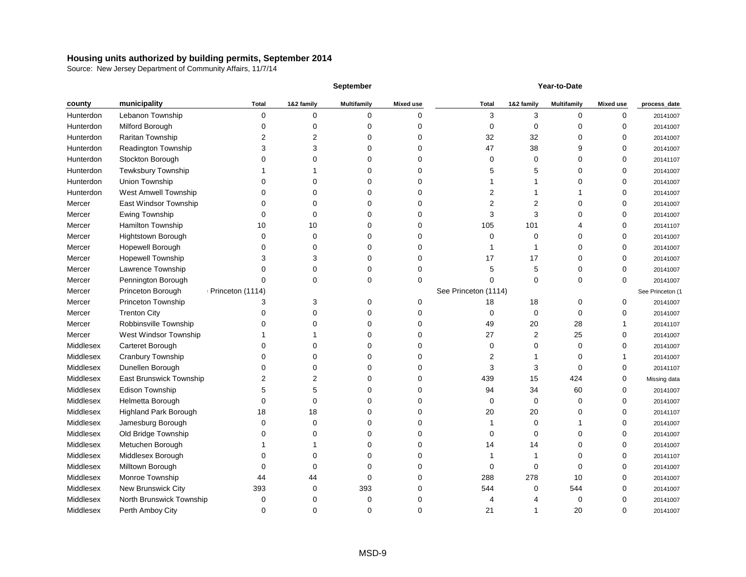|           |                                |                  |            | <b>September</b>   |                  |                      |            | Year-to-Date       |                  |                  |
|-----------|--------------------------------|------------------|------------|--------------------|------------------|----------------------|------------|--------------------|------------------|------------------|
| county    | municipality                   | <b>Total</b>     | 1&2 family | <b>Multifamily</b> | <b>Mixed use</b> | <b>Total</b>         | 1&2 family | <b>Multifamily</b> | <b>Mixed use</b> | process_date     |
| Hunterdon | Lebanon Township               | 0                | 0          | 0                  |                  | 3                    | 3          | 0                  | 0                | 20141007         |
| Hunterdon | Milford Borough                |                  |            |                    |                  |                      | 0          | ∩                  | $\Omega$         | 20141007         |
| Hunterdon | Raritan Township               |                  |            |                    |                  | 32                   | 32         |                    |                  | 20141007         |
| Hunterdon | Readington Township            |                  |            |                    |                  | 47                   | 38         |                    |                  | 20141007         |
| Hunterdon | Stockton Borough               |                  |            |                    |                  |                      |            |                    |                  | 20141107         |
| Hunterdon | Tewksbury Township             |                  |            |                    |                  |                      |            |                    |                  | 20141007         |
| Hunterdon | Union Township                 |                  |            |                    |                  |                      |            |                    |                  | 20141007         |
| Hunterdon | West Amwell Township           |                  |            |                    |                  |                      |            |                    |                  | 20141007         |
| Mercer    | East Windsor Township          |                  |            |                    |                  |                      |            |                    |                  | 20141007         |
| Mercer    | Ewing Township                 |                  |            |                    |                  |                      |            |                    |                  | 20141007         |
| Mercer    | Hamilton Township              | 10               | 10         |                    |                  | 105                  | 101        |                    |                  | 20141107         |
| Mercer    | Hightstown Borough             |                  | 0          |                    |                  | O                    | ∩          |                    |                  | 20141007         |
| Mercer    | Hopewell Borough               |                  |            |                    |                  |                      |            |                    |                  | 20141007         |
| Mercer    | <b>Hopewell Township</b>       |                  | 3          |                    |                  | 17                   | 17         |                    |                  | 20141007         |
| Mercer    | Lawrence Township              |                  |            |                    |                  |                      | 5          |                    |                  | 20141007         |
| Mercer    | Pennington Borough             |                  |            |                    |                  |                      | ∩          | ∩                  | 0                | 20141007         |
| Mercer    | Princeton Borough              | Princeton (1114) |            |                    |                  | See Princeton (1114) |            |                    |                  | See Princeton (1 |
| Mercer    | Princeton Township             |                  | 3          |                    |                  | 18                   | 18         | ∩                  | 0                | 20141007         |
| Mercer    | <b>Trenton City</b>            |                  |            |                    |                  |                      | 0          | ∩                  |                  | 20141007         |
| Mercer    | Robbinsville Township          |                  |            |                    |                  | 49                   | 20         | 28                 |                  | 20141107         |
| Mercer    | West Windsor Township          |                  |            |                    |                  | 27                   | 2          | 25                 |                  | 20141007         |
| Middlesex | Carteret Borough               |                  |            |                    |                  |                      |            | ∩                  |                  | 20141007         |
| Middlesex | Cranbury Township              |                  |            |                    |                  | 2                    |            |                    |                  | 20141007         |
| Middlesex | Dunellen Borough               |                  |            |                    |                  |                      | 3          | ∩                  |                  | 20141107         |
| Middlesex | <b>East Brunswick Township</b> |                  |            |                    |                  | 439                  | 15         | 424                |                  | Missing data     |
| Middlesex | Edison Township                |                  |            |                    |                  | 94                   | 34         | 60                 |                  | 20141007         |
| Middlesex | Helmetta Borough               |                  |            |                    |                  |                      |            |                    |                  | 20141007         |
| Middlesex | Highland Park Borough          | 18               |            |                    |                  | 20                   | 20         |                    |                  | 20141107         |
| Middlesex | Jamesburg Borough              |                  | 0          |                    |                  |                      |            |                    | 0                | 20141007         |
| Middlesex | Old Bridge Township            |                  |            |                    |                  |                      |            |                    | ∩                | 20141007         |
| Middlesex | Metuchen Borough               |                  |            |                    |                  | 14                   | 14         |                    | 0                | 20141007         |
| Middlesex | Middlesex Borough              |                  |            | O                  |                  |                      |            |                    | 0                | 20141107         |
| Middlesex | Milltown Borough               |                  |            |                    |                  |                      |            |                    | 0                | 20141007         |
| Middlesex | Monroe Township                | 44               | 44         | ∩                  |                  | 288                  | 278        | 10                 | 0                | 20141007         |
| Middlesex | New Brunswick City             | 393              | 0          | 393                |                  | 544                  | 0          | 544                | ∩                | 20141007         |
| Middlesex | North Brunswick Township       | 0                | 0          | 0                  |                  |                      |            | 0                  | 0                | 20141007         |
| Middlesex | Perth Amboy City               | 0                | 0          | 0                  | 0                | 21                   |            | 20                 | 0                | 20141007         |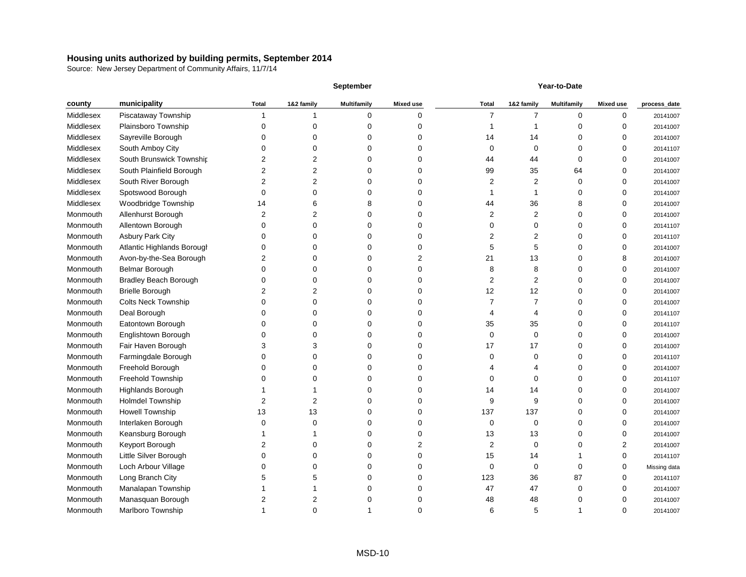|           |                              |                |                | <b>September</b>   |                  | Year-to-Date   |            |                    |                  |              |
|-----------|------------------------------|----------------|----------------|--------------------|------------------|----------------|------------|--------------------|------------------|--------------|
| county    | municipality                 | <b>Total</b>   | 1&2 family     | <b>Multifamily</b> | <b>Mixed use</b> | <b>Total</b>   | 1&2 family | <b>Multifamily</b> | <b>Mixed use</b> | process_date |
| Middlesex | Piscataway Township          |                |                | 0                  | 0                | 7              |            | 0                  | 0                | 20141007     |
| Middlesex | Plainsboro Township          | O              |                | 0                  | U                |                |            | ∩                  | n                | 20141007     |
| Middlesex | Sayreville Borough           |                |                | 0                  |                  | 14             | 14         |                    |                  | 20141007     |
| Middlesex | South Amboy City             |                |                | n                  |                  | 0              | 0          |                    |                  | 20141107     |
| Middlesex | South Brunswick Township     | 2              |                | 0                  |                  | 44             | 44         | 0                  |                  | 20141007     |
| Middlesex | South Plainfield Borough     |                |                | 0                  |                  | 99             | 35         | 64                 |                  | 20141007     |
| Middlesex | South River Borough          | 2              |                | 0                  |                  | 2              | 2          | 0                  |                  | 20141007     |
| Middlesex | Spotswood Borough            | 0              |                | 0                  |                  |                |            | Ω                  |                  | 20141007     |
| Middlesex | Woodbridge Township          | 14             |                | 8                  |                  | 44             | 36         |                    | ∩                | 20141007     |
| Monmouth  | Allenhurst Borough           | 2              |                | 0                  | O                | 2              | 2          | O                  | n                | 20141007     |
| Monmouth  | Allentown Borough            | 0              |                | 0                  | U                | O              | 0          |                    |                  | 20141107     |
| Monmouth  | <b>Asbury Park City</b>      | $\Box$         |                | 0                  | U                | 2              | 2          |                    | n                | 20141107     |
| Monmouth  | Atlantic Highlands Borough   | O              |                | 0                  |                  | 5              | 5          | O                  | ∩                | 20141007     |
| Monmouth  | Avon-by-the-Sea Borough      | 2              |                | 0                  | 2                | 21             | 13         |                    |                  | 20141007     |
| Monmouth  | <b>Belmar Borough</b>        | 0              |                | 0                  | U                | 8              | 8          |                    |                  | 20141007     |
| Monmouth  | <b>Bradley Beach Borough</b> |                |                | 0                  |                  | 2              | 2          |                    |                  | 20141007     |
| Monmouth  | <b>Brielle Borough</b>       |                |                | ი                  |                  | 12             | 12         | O                  |                  | 20141007     |
| Monmouth  | <b>Colts Neck Township</b>   |                |                | 0                  |                  |                |            |                    |                  | 20141007     |
| Monmouth  | Deal Borough                 |                |                | 0                  | 0                |                | 4          | Ω                  |                  | 20141107     |
| Monmouth  | Eatontown Borough            |                |                | 0                  |                  | 35             | 35         |                    |                  | 20141107     |
| Monmouth  | Englishtown Borough          |                |                | 0                  | 0                | $\Omega$       | 0          | Ω                  | n                | 20141007     |
| Monmouth  | Fair Haven Borough           |                |                | 0                  | U                | 17             | 17         |                    | ∩                | 20141007     |
| Monmouth  | Farmingdale Borough          | O              |                | 0                  | U                | ∩              | 0          | O                  | ∩                | 20141107     |
| Monmouth  | Freehold Borough             |                |                | ი                  |                  |                |            |                    |                  | 20141007     |
| Monmouth  | Freehold Township            |                |                | 0                  |                  | O              | 0          |                    |                  | 20141107     |
| Monmouth  | Highlands Borough            |                |                | n                  |                  | 14             | 14         |                    |                  | 20141007     |
| Monmouth  | <b>Holmdel Township</b>      |                |                | Ω                  |                  | 9              | 9          |                    |                  | 20141007     |
| Monmouth  | <b>Howell Township</b>       | 13             | 13             | 0                  |                  | 137            | 137        | O                  | ∩                | 20141007     |
| Monmouth  | Interlaken Borough           |                |                | 0                  | 0                | $\mathbf 0$    | 0          | 0                  | $\mathbf 0$      | 20141007     |
| Monmouth  | Keansburg Borough            |                |                | 0                  | 0                | 13             | 13         | 0                  | 0                | 20141007     |
| Monmouth  | Keyport Borough              | $\overline{2}$ |                | 0                  | 2                | $\overline{2}$ | 0          | 0                  | 2                | 20141007     |
| Monmouth  | Little Silver Borough        | 0              |                | 0                  | 0                | 15             | 14         |                    | 0                | 20141107     |
| Monmouth  | Loch Arbour Village          | 0              |                | 0                  | 0                | 0              | 0          | 0                  | ∩                | Missing data |
| Monmouth  | Long Branch City             | 5              |                | 0                  | 0                | 123            | 36         | 87                 | $\Omega$         | 20141107     |
| Monmouth  | Manalapan Township           |                |                | 0                  | 0                | 47             | 47         | $\mathbf 0$        | ∩                | 20141007     |
| Monmouth  | Manasquan Borough            | 2              | $\overline{c}$ | 0                  | 0                | 48             | 48         | 0                  |                  | 20141007     |
| Monmouth  | Marlboro Township            |                | $\pmb{0}$      |                    | 0                | 6              | 5          | 1                  | 0                | 20141007     |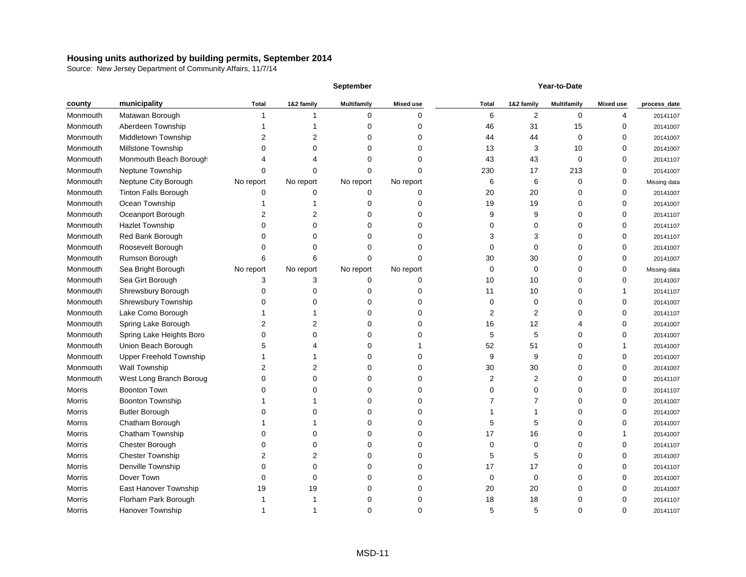|               |                             |              |            | September          |                  |              |                | Year-to-Date       |                  |              |
|---------------|-----------------------------|--------------|------------|--------------------|------------------|--------------|----------------|--------------------|------------------|--------------|
| county        | municipality                | <b>Total</b> | 1&2 family | <b>Multifamily</b> | <b>Mixed use</b> | <b>Total</b> | 1&2 family     | <b>Multifamily</b> | <b>Mixed use</b> | process_date |
| Monmouth      | Matawan Borough             |              |            | 0                  | 0                | 6            | $\overline{2}$ | $\mathbf 0$        | 4                | 20141107     |
| Monmouth      | Aberdeen Township           |              |            | ი                  |                  | 46           | 31             | 15                 |                  | 20141007     |
| Monmouth      | Middletown Township         | 2            |            | 0                  |                  | 44           | 44             | 0                  | 0                | 20141007     |
| Monmouth      | Millstone Township          |              |            | 0                  | 0                | 13           | 3              | 10                 | O                | 20141007     |
| Monmouth      | Monmouth Beach Borough      |              |            | ი                  |                  | 43           | 43             | 0                  | 0                | 20141107     |
| Monmouth      | Neptune Township            | O            |            | 0                  | n                | 230          | 17             | 213                | $\Omega$         | 20141007     |
| Monmouth      | Neptune City Borough        | No report    | No report  | No report          | No report        | 6            | 6              | 0                  | 0                | Missing data |
| Monmouth      | <b>Tinton Falls Borough</b> | O            |            | 0                  | 0                | 20           | 20             |                    | $\Omega$         | 20141007     |
| Monmouth      | Ocean Township              |              |            | 0                  | O                | 19           | 19             | O                  | O                | 20141007     |
| Monmouth      | Oceanport Borough           |              |            | ი                  |                  | 9            | 9              |                    |                  | 20141107     |
| Monmouth      | <b>Hazlet Township</b>      |              |            | ი                  |                  |              | 0              |                    |                  | 20141107     |
| Monmouth      | Red Bank Borough            |              |            |                    |                  | З            | 3              |                    | ∩                | 20141107     |
| Monmouth      | Roosevelt Borough           |              |            |                    |                  |              | 0              |                    |                  | 20141007     |
| Monmouth      | Rumson Borough              | 6            |            | 0                  |                  | 30           | 30             |                    | 0                | 20141007     |
| Monmouth      | Sea Bright Borough          | No report    | No report  | No report          | No report        | 0            | 0              |                    | 0                | Missing data |
| Monmouth      | Sea Girt Borough            | 3            |            | 0                  | 0                | 10           | 10             |                    | 0                | 20141007     |
| Monmouth      | Shrewsbury Borough          |              |            | 0                  | 0                | 11           | 10             |                    |                  | 20141107     |
| Monmouth      | Shrewsbury Township         |              |            | ი                  |                  | O            | 0              |                    |                  | 20141007     |
| Monmouth      | Lake Como Borough           |              |            | 0                  |                  | 2            | 2              |                    |                  | 20141107     |
| Monmouth      | Spring Lake Borough         | 2            |            | ი                  |                  | 16           | 12             |                    | 0                | 20141007     |
| Monmouth      | Spring Lake Heights Boro    | 0            |            | 0                  |                  | 5            | 5              |                    | 0                | 20141007     |
| Monmouth      | Union Beach Borough         |              |            | 0                  |                  | 52           | 51             |                    |                  | 20141007     |
| Monmouth      | Upper Freehold Township     |              |            | 0                  |                  | 9            | 9              |                    |                  | 20141007     |
| Monmouth      | Wall Township               |              |            | ი                  |                  | 30           | 30             |                    |                  | 20141007     |
| Monmouth      | West Long Branch Boroug     |              |            |                    |                  | 2            | 2              |                    |                  | 20141107     |
| <b>Morris</b> | <b>Boonton Town</b>         |              |            | O                  |                  |              | 0              |                    |                  | 20141107     |
| Morris        | <b>Boonton Township</b>     |              |            |                    |                  |              |                |                    |                  | 20141007     |
| Morris        | <b>Butler Borough</b>       |              |            |                    |                  |              |                |                    |                  | 20141007     |
| Morris        | Chatham Borough             |              |            | 0                  | 0                | 5            | 5              |                    | $\pmb{0}$        | 20141007     |
| Morris        | Chatham Township            |              |            | 0                  | 0                | 17           | 16             |                    |                  | 20141007     |
| Morris        | Chester Borough             |              |            | 0                  |                  | 0            | 0              |                    | 0                | 20141107     |
| Morris        | <b>Chester Township</b>     | 2            |            | 0                  | O                | 5            | 5              |                    |                  | 20141007     |
| Morris        | Denville Township           | 0            |            | O                  |                  | 17           | 17             |                    |                  | 20141107     |
| Morris        | Dover Town                  | O            |            | Ω                  |                  | 0            | 0              |                    |                  | 20141007     |
| Morris        | East Hanover Township       | 19           | 19         |                    |                  | 20           | 20             |                    |                  | 20141007     |
| Morris        | Florham Park Borough        |              |            | 0                  |                  | 18           | 18             |                    |                  | 20141107     |
| Morris        | Hanover Township            |              |            | 0                  | 0                | 5            | 5              | 0                  | 0                | 20141107     |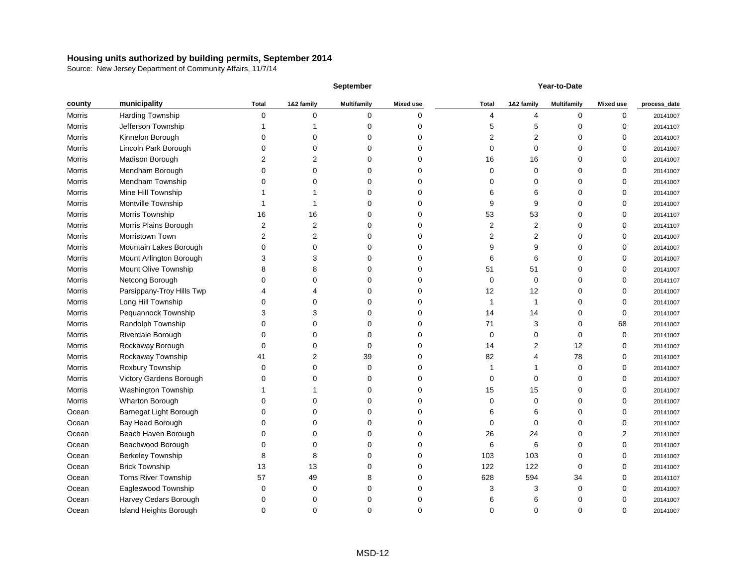|        |                           |              |             | <b>September</b>   |                  | Year-to-Date |                |                    |                  |              |
|--------|---------------------------|--------------|-------------|--------------------|------------------|--------------|----------------|--------------------|------------------|--------------|
| county | municipality              | <b>Total</b> | 1&2 family  | <b>Multifamily</b> | <b>Mixed use</b> | <b>Total</b> | 1&2 family     | <b>Multifamily</b> | <b>Mixed use</b> | process_date |
| Morris | Harding Township          | 0            | 0           | 0                  | 0                | 4            | 4              | 0                  | 0                | 20141007     |
| Morris | Jefferson Township        |              |             |                    | 0                |              | 5              | 0                  |                  | 20141107     |
| Morris | Kinnelon Borough          |              |             |                    | 0                |              | 2              |                    |                  | 20141007     |
| Morris | Lincoln Park Borough      |              |             |                    | U                | 0            | 0              | 0                  |                  | 20141007     |
| Morris | Madison Borough           |              |             |                    | 0                | 16           | 16             | 0                  |                  | 20141007     |
| Morris | Mendham Borough           |              |             |                    | 0                | 0            | 0              | 0                  |                  | 20141007     |
| Morris | Mendham Township          |              |             |                    | 0                |              | 0              | 0                  |                  | 20141007     |
| Morris | Mine Hill Township        |              |             |                    | O                |              | 6              | 0                  |                  | 20141007     |
| Morris | Montville Township        |              |             |                    | O                |              | 9              |                    | ∩                | 20141007     |
| Morris | Morris Township           | 16           | 16          |                    | 0                | 53           | 53             | 0                  | n                | 20141107     |
| Morris | Morris Plains Borough     | 2            |             |                    | 0                | 2            | $\overline{c}$ |                    |                  | 20141107     |
| Morris | Morristown Town           | 2            |             |                    | ი                | 2            | 2              |                    |                  | 20141007     |
| Morris | Mountain Lakes Borough    | ∩            |             |                    | O                |              | 9              | O                  |                  | 20141007     |
| Morris | Mount Arlington Borough   | 3            |             |                    | 0                | 6            | 6              | 0                  | $\Omega$         | 20141007     |
| Morris | Mount Olive Township      |              |             |                    | 0                | 51           | 51             | 0                  |                  | 20141007     |
| Morris | Netcong Borough           |              |             |                    | 0                | 0            | 0              | 0                  |                  | 20141107     |
| Morris | Parsippany-Troy Hills Twp |              |             |                    | ი                | 12           | 12             | 0                  |                  | 20141007     |
| Morris | Long Hill Township        |              |             |                    |                  |              |                |                    |                  | 20141007     |
| Morris | Pequannock Township       |              |             |                    | 0                | 14           | 14             | 0                  |                  | 20141007     |
| Morris | Randolph Township         |              |             |                    | 0                | 71           | 3              | 0                  | 68               | 20141007     |
| Morris | Riverdale Borough         |              |             |                    | 0                | 0            | 0              | 0                  | ∩                | 20141007     |
| Morris | Rockaway Borough          |              |             |                    | ი                | 14           | 2              | 12                 | ∩                | 20141007     |
| Morris | Rockaway Township         | 41           |             | 39                 | 0                | 82           |                | 78                 | ∩                | 20141007     |
| Morris | Roxbury Township          | U            |             | U                  | o                |              |                | 0                  |                  | 20141007     |
| Morris | Victory Gardens Borough   |              |             |                    | O                | 0            | 0              | 0                  |                  | 20141007     |
| Morris | Washington Township       |              |             |                    | O                | 15           | 15             | O                  |                  | 20141007     |
| Morris | <b>Wharton Borough</b>    |              |             |                    | 0                |              | 0              |                    |                  | 20141007     |
| Ocean  | Barnegat Light Borough    |              | 0           |                    | O                | 6            | 6              | 0                  | ∩                | 20141007     |
| Ocean  | Bay Head Borough          | 0            | 0           | 0                  | 0                | 0            | 0              | 0                  | $\mathbf 0$      | 20141007     |
| Ocean  | Beach Haven Borough       | 0            | 0           | 0                  | 0                | 26           | 24             | 0                  | 2                | 20141007     |
| Ocean  | Beachwood Borough         | $\mathbf 0$  | $\pmb{0}$   | 0                  | 0                | 6            | 6              | 0                  | 0                | 20141007     |
| Ocean  | <b>Berkeley Township</b>  | 8            | 8           | 0                  | 0                | 103          | 103            | 0                  | 0                | 20141007     |
| Ocean  | <b>Brick Township</b>     | 13           | 13          | 0                  | 0                | 122          | 122            | 0                  | ∩                | 20141007     |
| Ocean  | Toms River Township       | 57           | 49          | 8                  | 0                | 628          | 594            | 34                 | n                | 20141107     |
| Ocean  | Eagleswood Township       | $\mathbf 0$  | $\mathbf 0$ | 0                  | 0                | 3            | 3              | 0                  | n                | 20141007     |
| Ocean  | Harvey Cedars Borough     | 0            | 0           | 0                  | 0                | 6            | 6              | 0                  |                  | 20141007     |
| Ocean  | Island Heights Borough    | 0            | 0           | 0                  | 0                | 0            | $\mathbf 0$    | 0                  | 0                | 20141007     |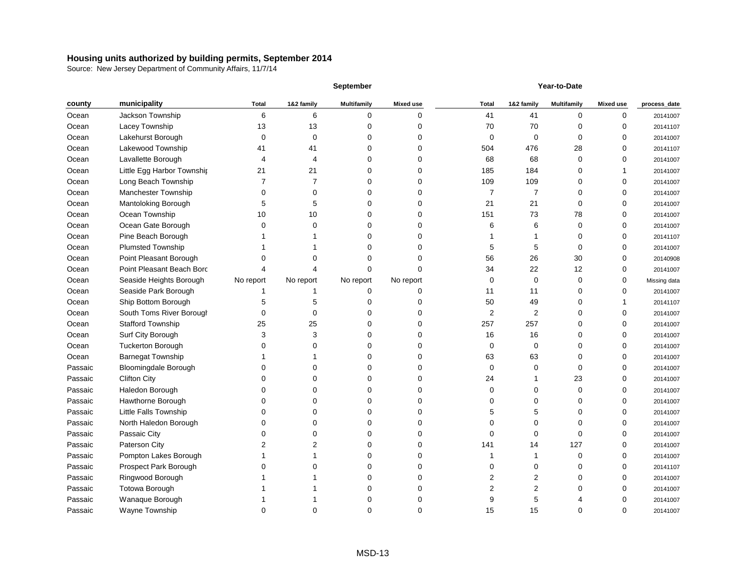|         |                             | <b>September</b> |            |                    | Year-to-Date     |              |                |                    |                  |              |
|---------|-----------------------------|------------------|------------|--------------------|------------------|--------------|----------------|--------------------|------------------|--------------|
| county  | municipality                | <b>Total</b>     | 1&2 family | <b>Multifamily</b> | <b>Mixed use</b> | <b>Total</b> | 1&2 family     | <b>Multifamily</b> | <b>Mixed use</b> | process_date |
| Ocean   | Jackson Township            | 6                | 6          | 0                  | 0                | 41           | 41             | 0                  | 0                | 20141007     |
| Ocean   | Lacey Township              | 13               | 13         |                    | O                | 70           | 70             | O                  | 0                | 20141107     |
| Ocean   | Lakehurst Borough           | 0                | 0          |                    | ი                | 0            | 0              | 0                  | 0                | 20141007     |
| Ocean   | Lakewood Township           | 41               | 41         |                    |                  | 504          | 476            | 28                 | 0                | 20141107     |
| Ocean   | Lavallette Borough          | 4                | 4          |                    |                  | 68           | 68             | 0                  | 0                | 20141007     |
| Ocean   | Little Egg Harbor Township  | 21               | 21         |                    | ი                | 185          | 184            | 0                  |                  | 20141007     |
| Ocean   | Long Beach Township         | 7                |            |                    | 0                | 109          | 109            | 0                  | 0                | 20141007     |
| Ocean   | Manchester Township         | 0                | 0          |                    | 0                | 7            | 7              | 0                  | 0                | 20141007     |
| Ocean   | Mantoloking Borough         | 5                | 5          |                    | ი                | 21           | 21             | 0                  | 0                | 20141007     |
| Ocean   | Ocean Township              | 10               | 10         | n                  | O                | 151          | 73             | 78                 | 0                | 20141007     |
| Ocean   | Ocean Gate Borough          | ∩                | ∩          |                    | ი                |              | 6              | 0                  | 0                | 20141007     |
| Ocean   | Pine Beach Borough          |                  |            |                    | U                |              |                | 0                  | O                | 20141107     |
| Ocean   | <b>Plumsted Township</b>    |                  |            |                    | n                | 5            | 5              | $\Omega$           | 0                | 20141007     |
| Ocean   | Point Pleasant Borough      |                  |            |                    | Ω                | 56           | 26             | 30                 | 0                | 20140908     |
| Ocean   | Point Pleasant Beach Borc   |                  |            |                    |                  | 34           | 22             | 12                 | 0                | 20141007     |
| Ocean   | Seaside Heights Borough     | No report        | No report  | No report          | No report        | 0            | $\mathbf 0$    | 0                  | 0                | Missing data |
| Ocean   | Seaside Park Borough        |                  |            | ი                  | 0                | 11           | 11             | 0                  | 0                | 20141007     |
| Ocean   | Ship Bottom Borough         |                  |            |                    |                  | 50           | 49             | 0                  |                  | 20141107     |
| Ocean   | South Toms River Borough    | 0                | 0          |                    | O                | 2            | $\overline{2}$ | O                  | 0                | 20141007     |
| Ocean   | <b>Stafford Township</b>    | 25               | 25         |                    | 0                | 257          | 257            |                    | 0                | 20141007     |
| Ocean   | Surf City Borough           | 3                | 3          | n                  | O                | 16           | 16             | O                  | 0                | 20141007     |
| Ocean   | <b>Tuckerton Borough</b>    |                  |            |                    | U                | 0            | 0              | O                  | 0                | 20141007     |
| Ocean   | <b>Barnegat Township</b>    |                  |            |                    | 0                | 63           | 63             | 0                  | 0                | 20141007     |
| Passaic | <b>Bloomingdale Borough</b> |                  |            |                    | n                | ∩            | U              | O                  |                  | 20141007     |
| Passaic | <b>Clifton City</b>         |                  |            |                    | O                | 24           |                | 23                 |                  | 20141007     |
| Passaic | Haledon Borough             |                  |            |                    |                  | ∩            | ი              | O                  | O                | 20141007     |
| Passaic | Hawthorne Borough           |                  |            |                    |                  |              |                |                    |                  | 20141007     |
| Passaic | Little Falls Township       |                  | 0          |                    |                  | 5            | 5              | 0                  | 0                | 20141007     |
| Passaic | North Haledon Borough       |                  | 0          | 0                  | 0                | 0            | 0              | 0                  | 0                | 20141007     |
| Passaic | Passaic City                | 0                | 0          | 0                  | 0                | ∩            | 0              | 0                  | 0                | 20141007     |
| Passaic | Paterson City               | 2                |            | 0                  | 0                | 141          | 14             | 127                | 0                | 20141007     |
| Passaic | Pompton Lakes Borough       |                  |            | 0                  | $\Omega$         |              |                | 0                  | 0                | 20141007     |
| Passaic | Prospect Park Borough       |                  |            |                    | O                |              | 0              | 0                  |                  | 20141107     |
| Passaic | Ringwood Borough            |                  |            | 0                  | 0                | 2            | $\overline{2}$ | 0                  |                  | 20141007     |
| Passaic | Totowa Borough              |                  |            |                    | 0                | 2            | 2              |                    |                  | 20141007     |
| Passaic | Wanaque Borough             |                  |            |                    | 0                |              | 5              |                    |                  | 20141007     |
| Passaic | Wayne Township              | 0                | 0          | 0                  | 0                | 15           | 15             | 0                  | 0                | 20141007     |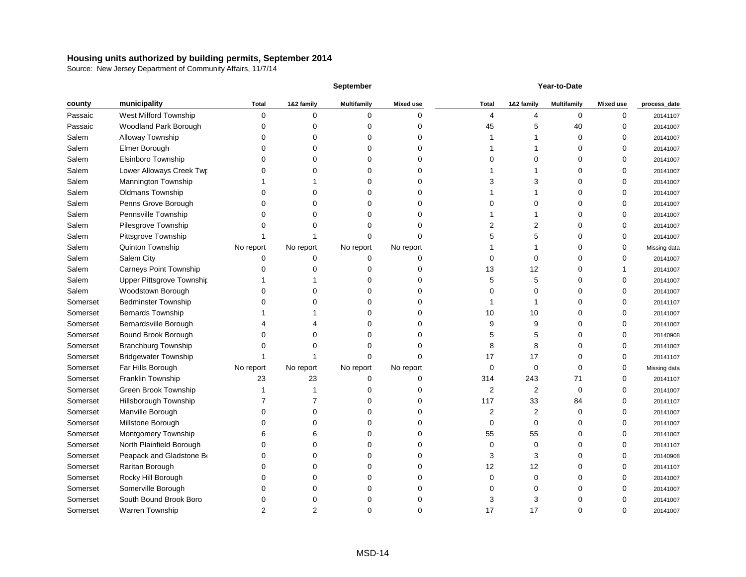|          |                               | <b>September</b> |            | Year-to-Date       |                  |              |            |                    |                  |              |
|----------|-------------------------------|------------------|------------|--------------------|------------------|--------------|------------|--------------------|------------------|--------------|
| county   | municipality                  | <b>Total</b>     | 1&2 family | <b>Multifamily</b> | <b>Mixed use</b> | <b>Total</b> | 1&2 family | <b>Multifamily</b> | <b>Mixed use</b> | process_date |
| Passaic  | West Milford Township         | 0                | $\Omega$   | 0                  | 0                | 4            | 4          | 0                  | 0                | 20141107     |
| Passaic  | Woodland Park Borough         | C                |            | O                  |                  | 45           | 5          | 40                 |                  | 20141007     |
| Salem    | Alloway Township              |                  |            |                    |                  |              |            | 0                  |                  | 20141007     |
| Salem    | Elmer Borough                 |                  |            |                    |                  |              |            |                    |                  | 20141007     |
| Salem    | Elsinboro Township            |                  |            |                    |                  |              | 0          |                    |                  | 20141007     |
| Salem    | Lower Alloways Creek Twp      |                  |            |                    |                  |              |            |                    |                  | 20141007     |
| Salem    | Mannington Township           |                  |            |                    |                  |              | 3          |                    |                  | 20141007     |
| Salem    | <b>Oldmans Township</b>       |                  |            |                    |                  |              |            |                    |                  | 20141007     |
| Salem    | Penns Grove Borough           |                  |            |                    |                  |              | 0          |                    |                  | 20141007     |
| Salem    | Pennsville Township           |                  |            |                    | U                |              |            |                    |                  | 20141007     |
| Salem    | Pilesgrove Township           |                  |            |                    |                  |              | 2          |                    |                  | 20141007     |
| Salem    | Pittsgrove Township           |                  |            |                    |                  |              | 5          |                    |                  | 20141007     |
| Salem    | Quinton Township              | No report        | No report  | No report          | No report        |              |            |                    |                  | Missing data |
| Salem    | Salem City                    | 0                |            | 0                  | 0                |              | 0          |                    |                  | 20141007     |
| Salem    | <b>Carneys Point Township</b> |                  |            | O                  |                  | 13           | 12         | O                  |                  | 20141007     |
| Salem    | Upper Pittsgrove Township     |                  |            |                    |                  | 5            | 5          |                    |                  | 20141007     |
| Salem    | Woodstown Borough             |                  |            |                    |                  |              | 0          |                    |                  | 20141007     |
| Somerset | <b>Bedminster Township</b>    |                  |            |                    |                  |              |            |                    |                  | 20141107     |
| Somerset | <b>Bernards Township</b>      |                  |            |                    |                  | 10           | 10         |                    |                  | 20141007     |
| Somerset | Bernardsville Borough         |                  |            |                    |                  |              | 9          |                    |                  | 20141007     |
| Somerset | Bound Brook Borough           |                  |            | O                  | O                | 5            | 5          |                    |                  | 20140908     |
| Somerset | <b>Branchburg Township</b>    |                  |            |                    |                  | 8            | 8          |                    |                  | 20141007     |
| Somerset | <b>Bridgewater Township</b>   |                  |            | U                  | O                | 17           | 17         | 0                  | ∩                | 20141107     |
| Somerset | Far Hills Borough             | No report        | No report  | No report          | No report        | 0            | 0          | 0                  |                  | Missing data |
| Somerset | Franklin Township             | 23               | 23         | 0                  | 0                | 314          | 243        | 71                 |                  | 20141107     |
| Somerset | <b>Green Brook Township</b>   |                  |            |                    |                  | 2            | 2          | 0                  |                  | 20141007     |
| Somerset | Hillsborough Township         |                  |            |                    |                  | 117          | 33         | 84                 |                  | 20141107     |
| Somerset | Manville Borough              |                  |            |                    |                  | 2            | 2          | 0                  | ∩                | 20141007     |
| Somerset | Millstone Borough             |                  |            | 0                  | 0                | 0            | 0          | 0                  | 0                | 20141007     |
| Somerset | Montgomery Township           | 6                |            | 0                  | 0                | 55           | 55         | 0                  | ∩                | 20141007     |
| Somerset | North Plainfield Borough      | 0                |            | 0                  | 0                | 0            | 0          | 0                  |                  | 20141107     |
| Somerset | Peapack and Gladstone Bo      | 0                |            | 0                  | 0                | 3            | 3          | 0                  |                  | 20140908     |
| Somerset | Raritan Borough               |                  |            | 0                  | 0                | 12           | 12         | 0                  |                  | 20141107     |
| Somerset | Rocky Hill Borough            | 0                |            | 0                  | 0                | 0            | 0          | 0                  |                  | 20141007     |
| Somerset | Somerville Borough            | 0                |            | 0                  | O                |              | 0          | 0                  |                  | 20141007     |
| Somerset | South Bound Brook Boro        | 0                |            | 0                  | O                | 3            | 3          | 0                  |                  | 20141007     |
| Somerset | Warren Township               | $\overline{2}$   | 2          | 0                  | 0                | 17           | 17         | 0                  | 0                | 20141007     |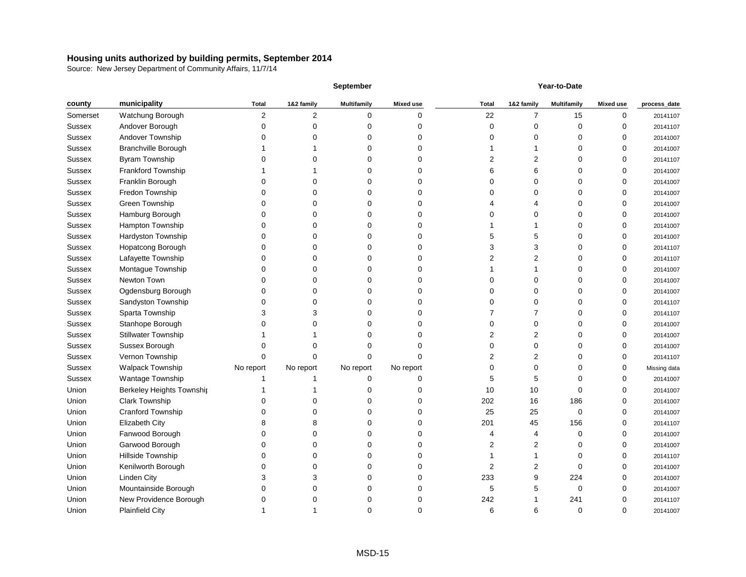|               |                            |                | <b>September</b> |                    |                  | Year-to-Date   |                |                    |                  |              |  |
|---------------|----------------------------|----------------|------------------|--------------------|------------------|----------------|----------------|--------------------|------------------|--------------|--|
| county        | municipality               | <b>Total</b>   | 1&2 family       | <b>Multifamily</b> | <b>Mixed use</b> | <b>Total</b>   | 1&2 family     | <b>Multifamily</b> | <b>Mixed use</b> | process_date |  |
| Somerset      | Watchung Borough           | $\overline{2}$ | $\overline{2}$   | 0                  | 0                | 22             | 7              | 15                 | 0                | 20141107     |  |
| <b>Sussex</b> | Andover Borough            |                |                  |                    | O                | ∩              | 0              | O                  | 0                | 20141107     |  |
| <b>Sussex</b> | Andover Township           |                |                  |                    | 0                |                | ი              |                    |                  | 20141007     |  |
| <b>Sussex</b> | <b>Branchville Borough</b> |                |                  |                    |                  |                |                |                    |                  | 20141007     |  |
| Sussex        | <b>Byram Township</b>      |                |                  |                    |                  |                | 2              |                    | 0                | 20141107     |  |
| Sussex        | Frankford Township         |                |                  |                    | ი                |                | 6              |                    |                  | 20141007     |  |
| Sussex        | Franklin Borough           |                |                  |                    |                  |                | $\mathbf 0$    |                    |                  | 20141007     |  |
| <b>Sussex</b> | Fredon Township            |                |                  |                    | U                |                | 0              |                    | 0                | 20141007     |  |
| <b>Sussex</b> | Green Township             |                |                  |                    | n                |                |                |                    | 0                | 20141007     |  |
| <b>Sussex</b> | Hamburg Borough            |                |                  |                    | 0                |                | ი              |                    | 0                | 20141007     |  |
| <b>Sussex</b> | Hampton Township           |                |                  |                    | ი                |                |                |                    |                  | 20141007     |  |
| <b>Sussex</b> | Hardyston Township         |                |                  |                    | 0                |                | 5              |                    |                  | 20141007     |  |
| <b>Sussex</b> | Hopatcong Borough          |                |                  |                    | n                |                | 3              |                    | 0                | 20141107     |  |
| Sussex        | Lafayette Township         |                |                  |                    | ი                |                | 2              |                    | 0                | 20141107     |  |
| <b>Sussex</b> | Montague Township          |                |                  |                    | n                |                |                |                    |                  | 20141007     |  |
| <b>Sussex</b> | Newton Town                |                |                  |                    |                  |                | ი              |                    |                  | 20141007     |  |
| <b>Sussex</b> | Ogdensburg Borough         |                |                  |                    | n                |                | ი              |                    | 0                | 20141007     |  |
| <b>Sussex</b> | Sandyston Township         |                |                  |                    |                  |                |                |                    | 0                | 20141107     |  |
| <b>Sussex</b> | Sparta Township            |                |                  |                    | 0                |                |                |                    | 0                | 20141107     |  |
| Sussex        | Stanhope Borough           |                |                  |                    | 0                |                | 0              |                    | 0                | 20141007     |  |
| <b>Sussex</b> | <b>Stillwater Township</b> |                |                  |                    | U                |                | $\overline{2}$ |                    | 0                | 20141007     |  |
| <b>Sussex</b> | Sussex Borough             |                |                  |                    | n                |                | 0              |                    | 0                | 20141007     |  |
| <b>Sussex</b> | Vernon Township            | 0              |                  | n                  | 0                |                | 2              |                    | 0                | 20141107     |  |
| Sussex        | <b>Walpack Township</b>    | No report      | No report        | No report          | No report        |                | ი              |                    |                  | Missing data |  |
| Sussex        | Wantage Township           |                |                  | ი                  | 0                |                | 5              |                    |                  | 20141007     |  |
| Union         | Berkeley Heights Township  |                |                  |                    |                  | 10             | 10             | U                  | 0                | 20141007     |  |
| Union         | <b>Clark Township</b>      |                |                  |                    | O                | 202            | 16             | 186                | 0                | 20141007     |  |
| Union         | <b>Cranford Township</b>   |                |                  |                    | O                | 25             | 25             | 0                  | 0                | 20141007     |  |
| Union         | Elizabeth City             | 8              | 8                | 0                  | 0                | 201            | 45             | 156                | 0                | 20141107     |  |
| Union         | Fanwood Borough            | 0              | 0                | 0                  | 0                |                | 4              | $\Omega$           | 0                | 20141007     |  |
| Union         | Garwood Borough            | 0              | 0                | 0                  | 0                | 2              | $\overline{2}$ | 0                  | 0                | 20141007     |  |
| Union         | Hillside Township          | O              | ∩                | 0                  | 0                |                |                | $\Omega$           | 0                | 20141107     |  |
| Union         | Kenilworth Borough         |                |                  | 0                  | 0                | $\overline{2}$ | $\overline{2}$ | $\Omega$           | 0                | 20141007     |  |
| Union         | <b>Linden City</b>         | 3              |                  | 0                  | 0                | 233            | 9              | 224                | 0                | 20141007     |  |
| Union         | Mountainside Borough       | 0              | ∩                | 0                  | 0                | 5              | 5              | $\Omega$           | 0                | 20141007     |  |
| Union         | New Providence Borough     | 0              | 0                | 0                  | 0                | 242            |                | 241                | 0                | 20141107     |  |
| Union         | <b>Plainfield City</b>     | 1              |                  | 0                  | 0                | 6              | 6              | $\pmb{0}$          | 0                | 20141007     |  |